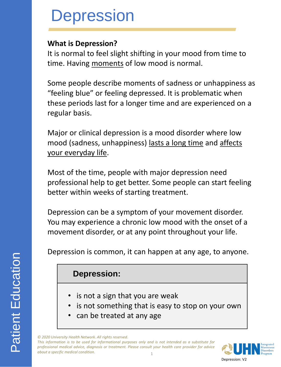#### **What is Depression?**

It is normal to feel slight shifting in your mood from time to time. Having moments of low mood is normal.

Some people describe moments of sadness or unhappiness as "feeling blue" or feeling depressed. It is problematic when these periods last for a longer time and are experienced on a regular basis.

Major or clinical depression is a mood disorder where low mood (sadness, unhappiness) lasts a long time and affects your everyday life.

Most of the time, people with major depression need professional help to get better. Some people can start feeling better within weeks of starting treatment.

Depression can be a symptom of your movement disorder. You may experience a chronic low mood with the onset of a movement disorder, or at any point throughout your life.

Depression is common, it can happen at any age, to anyone.

### **Depression:**

- is not a sign that you are weak
- is not something that is easy to stop on your own
- can be treated at any age

*© 2020 University Health Network. All rights reserved.*

1 This information is to be used for informational purposes only and is not intended as a substitute for *professional medical advice, diagnosis or treatment. Please consult your health care provider for advice about a specific medical condition.*

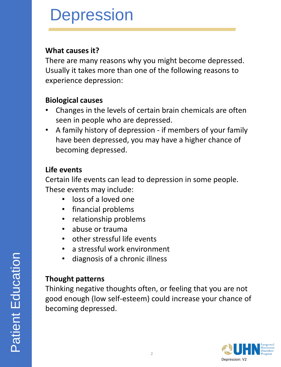#### **What causes it?**

There are many reasons why you might become depressed. Usually it takes more than one of the following reasons to experience depression:

#### **Biological causes**

- Changes in the levels of certain brain chemicals are often seen in people who are depressed.
- A family history of depression if members of your family have been depressed, you may have a higher chance of becoming depressed.

#### **Life events**

Certain life events can lead to depression in some people. These events may include:

- loss of a loved one
- financial problems
- relationship problems
- abuse or trauma
- other stressful life events
- a stressful work environment
- diagnosis of a chronic illness

### **Thought patterns**

Thinking negative thoughts often, or feeling that you are not good enough (low self-esteem) could increase your chance of becoming depressed.

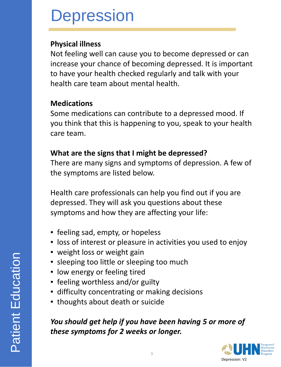#### **Physical illness**

Not feeling well can cause you to become depressed or can increase your chance of becoming depressed. It is important to have your health checked regularly and talk with your health care team about mental health.

#### **Medications**

Some medications can contribute to a depressed mood. If you think that this is happening to you, speak to your health care team.

#### **What are the signs that I might be depressed?**

There are many signs and symptoms of depression. A few of the symptoms are listed below.

Health care professionals can help you find out if you are depressed. They will ask you questions about these symptoms and how they are affecting your life:

- **·** feeling sad, empty, or hopeless
- **.** loss of interest or pleasure in activities you used to enjoy
- weight loss or weight gain
- **Example 2 sleeping too much sleeping too much**
- low energy or feeling tired
- feeling worthless and/or guilty
- **EXECUTE:** difficulty concentrating or making decisions
- **.** thoughts about death or suicide

## *You should get help if you have been having 5 or more of these symptoms for 2 weeks or longer.*

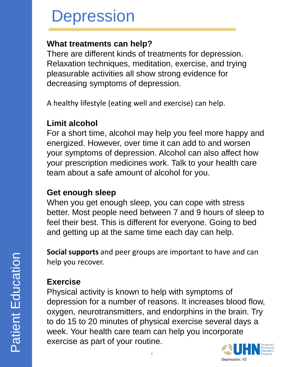## **What treatments can help?**

There are different kinds of treatments for depression. Relaxation techniques, meditation, exercise, and trying pleasurable activities all show strong evidence for decreasing symptoms of depression.

A healthy lifestyle (eating well and exercise) can help.

## **Limit alcohol**

For a short time, alcohol may help you feel more happy and energized. However, over time it can add to and worsen your symptoms of depression. Alcohol can also affect how your prescription medicines work. Talk to your health care team about a safe amount of alcohol for you.

### **Get enough sleep**

When you get enough sleep, you can cope with stress better. Most people need between 7 and 9 hours of sleep to feel their best. This is different for everyone. Going to bed and getting up at the same time each day can help.

**Social supports** and peer groups are important to have and can help you recover.

## **Exercise**

Physical activity is known to help with symptoms of depression for a number of reasons. It increases blood flow, oxygen, neurotransmitters, and endorphins in the brain. Try to do 15 to 20 minutes of physical exercise several days a week. Your health care team can help you incorporate exercise as part of your routine.

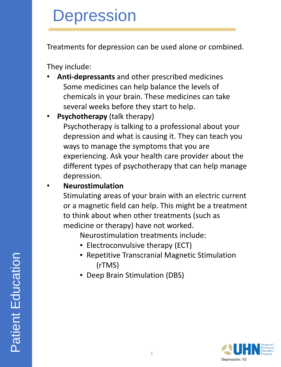Treatments for depression can be used alone or combined.

They include:

- **Anti-depressants** and other prescribed medicines Some medicines can help balance the levels of chemicals in your brain. These medicines can take several weeks before they start to help.
- **Psychotherapy** (talk therapy)

Psychotherapy is talking to a professional about your depression and what is causing it. They can teach you ways to manage the symptoms that you are experiencing. Ask your health care provider about the different types of psychotherapy that can help manage depression.

• **Neurostimulation** 

Stimulating areas of your brain with an electric current or a magnetic field can help. This might be a treatment to think about when other treatments (such as medicine or therapy) have not worked.

Neurostimulation treatments include:

- **Electroconvulsive therapy (ECT)**
- Repetitive Transcranial Magnetic Stimulation (rTMS)
- Deep Brain Stimulation (DBS)